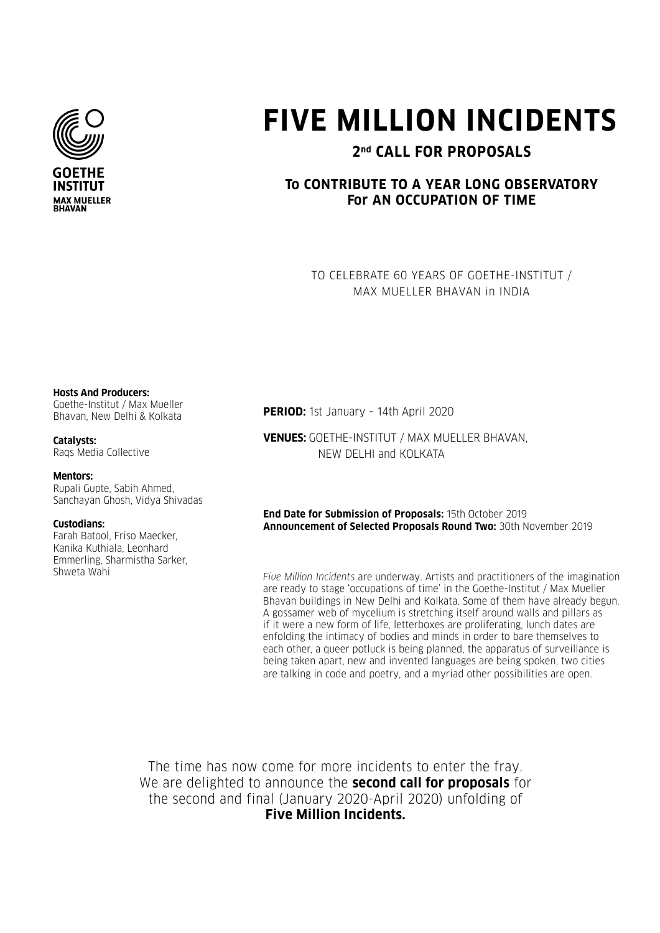

# **FIVE MILLION INCIDENTS**

# **2nd CALL FOR PROPOSALS**

## **To CONTRIBUTE TO A YEAR LONG OBSERVATORY For AN OCCUPATION OF TIME**

TO CELEBRATE 60 YEARS OF GOETHE-INSTITUT / MAX MUELLER BHAVAN in INDIA

#### **Hosts And Producers:**

Goethe-Institut / Max Mueller Bhavan, New Delhi & Kolkata

#### **Catalysts:**

Raqs Media Collective

#### **Mentors:**

Rupali Gupte, Sabih Ahmed, Sanchayan Ghosh, Vidya Shivadas

#### **Custodians:**

Farah Batool, Friso Maecker, Kanika Kuthiala, Leonhard Emmerling, Sharmistha Sarker, Shweta Wahi

**PERIOD:** 1st January – 14th April 2020

**VENUES:** GOETHE-INSTITUT / MAX MUELLER BHAVAN, NEW DELHI and KOLKATA

**End Date for Submission of Proposals:** 15th October 2019 **Announcement of Selected Proposals Round Two:** 30th November 2019

*Five Million Incidents* are underway. Artists and practitioners of the imagination are ready to stage 'occupations of time' in the Goethe-Institut / Max Mueller Bhavan buildings in New Delhi and Kolkata. Some of them have already begun. A gossamer web of mycelium is stretching itself around walls and pillars as if it were a new form of life, letterboxes are proliferating, lunch dates are enfolding the intimacy of bodies and minds in order to bare themselves to each other, a queer potluck is being planned, the apparatus of surveillance is being taken apart, new and invented languages are being spoken, two cities are talking in code and poetry, and a myriad other possibilities are open.

The time has now come for more incidents to enter the fray. We are delighted to announce the **second call for proposals** for the second and final (January 2020-April 2020) unfolding of **Five Million Incidents.**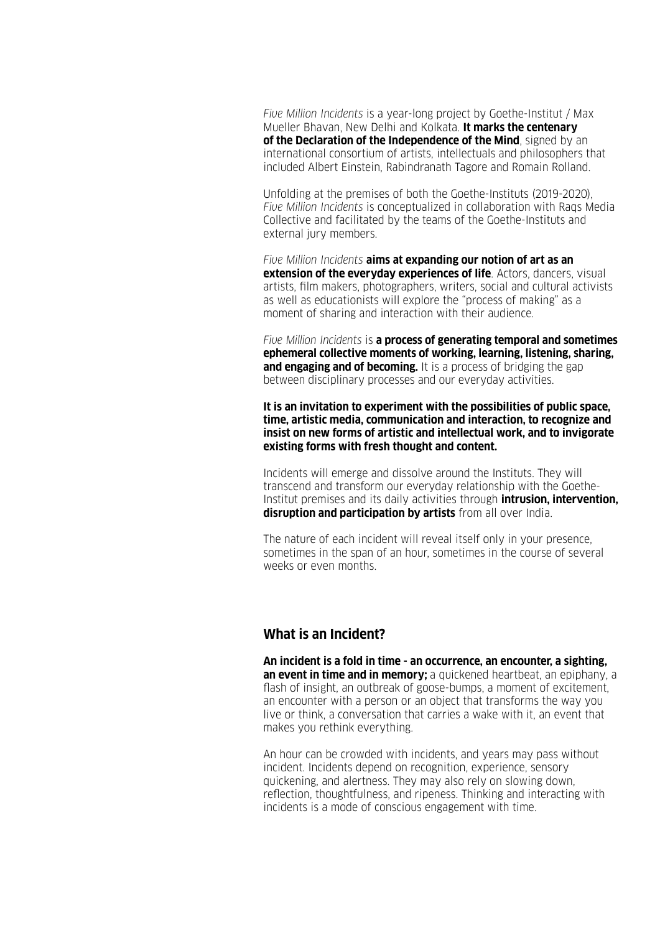*Five Million Incidents* is a year-long project by Goethe-Institut / Max Mueller Bhavan, New Delhi and Kolkata. **It marks the centenary of the Declaration of the Independence of the Mind**, signed by an international consortium of artists, intellectuals and philosophers that included Albert Einstein, Rabindranath Tagore and Romain Rolland.

Unfolding at the premises of both the Goethe-Instituts (2019-2020), *Five Million Incidents* is conceptualized in collaboration with Raqs Media Collective and facilitated by the teams of the Goethe-Instituts and external jury members.

*Five Million Incidents* **aims at expanding our notion of art as an extension of the everyday experiences of life**. Actors, dancers, visual artists, film makers, photographers, writers, social and cultural activists as well as educationists will explore the "process of making" as a moment of sharing and interaction with their audience.

*Five Million Incidents* is **a process of generating temporal and sometimes ephemeral collective moments of working, learning, listening, sharing, and engaging and of becoming.** It is a process of bridging the gap between disciplinary processes and our everyday activities.

**It is an invitation to experiment with the possibilities of public space, time, artistic media, communication and interaction, to recognize and insist on new forms of artistic and intellectual work, and to invigorate existing forms with fresh thought and content.**

Incidents will emerge and dissolve around the Instituts. They will transcend and transform our everyday relationship with the Goethe-Institut premises and its daily activities through **intrusion, intervention, disruption and participation by artists** from all over India.

The nature of each incident will reveal itself only in your presence, sometimes in the span of an hour, sometimes in the course of several weeks or even months.

#### **What is an Incident?**

**An incident is a fold in time - an occurrence, an encounter, a sighting, an event in time and in memory:** a quickened heartbeat, an epiphany, a flash of insight, an outbreak of goose-bumps, a moment of excitement, an encounter with a person or an object that transforms the way you live or think, a conversation that carries a wake with it, an event that makes you rethink everything.

An hour can be crowded with incidents, and years may pass without incident. Incidents depend on recognition, experience, sensory quickening, and alertness. They may also rely on slowing down, reflection, thoughtfulness, and ripeness. Thinking and interacting with incidents is a mode of conscious engagement with time.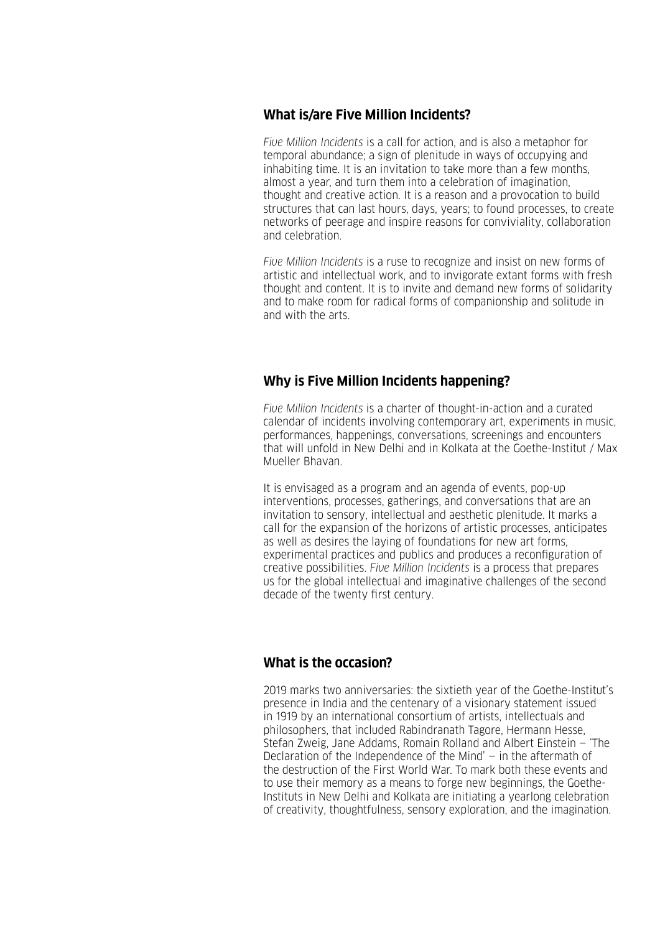## **What is/are Five Million Incidents?**

*Five Million Incidents* is a call for action, and is also a metaphor for temporal abundance; a sign of plenitude in ways of occupying and inhabiting time. It is an invitation to take more than a few months, almost a year, and turn them into a celebration of imagination, thought and creative action. It is a reason and a provocation to build structures that can last hours, days, years; to found processes, to create networks of peerage and inspire reasons for conviviality, collaboration and celebration.

*Five Million Incidents* is a ruse to recognize and insist on new forms of artistic and intellectual work, and to invigorate extant forms with fresh thought and content. It is to invite and demand new forms of solidarity and to make room for radical forms of companionship and solitude in and with the arts.

## **Why is Five Million Incidents happening?**

*Five Million Incidents* is a charter of thought-in-action and a curated calendar of incidents involving contemporary art, experiments in music, performances, happenings, conversations, screenings and encounters that will unfold in New Delhi and in Kolkata at the Goethe-Institut / Max Mueller Bhavan.

It is envisaged as a program and an agenda of events, pop-up interventions, processes, gatherings, and conversations that are an invitation to sensory, intellectual and aesthetic plenitude. It marks a call for the expansion of the horizons of artistic processes, anticipates as well as desires the laying of foundations for new art forms, experimental practices and publics and produces a reconfiguration of creative possibilities. *Five Million Incidents* is a process that prepares us for the global intellectual and imaginative challenges of the second decade of the twenty first century.

## **What is the occasion?**

2019 marks two anniversaries: the sixtieth year of the Goethe-Institut's presence in India and the centenary of a visionary statement issued in 1919 by an international consortium of artists, intellectuals and philosophers, that included Rabindranath Tagore, Hermann Hesse, Stefan Zweig, Jane Addams, Romain Rolland and Albert Einstein — 'The Declaration of the Independence of the Mind' — in the aftermath of the destruction of the First World War. To mark both these events and to use their memory as a means to forge new beginnings, the Goethe-Instituts in New Delhi and Kolkata are initiating a yearlong celebration of creativity, thoughtfulness, sensory exploration, and the imagination.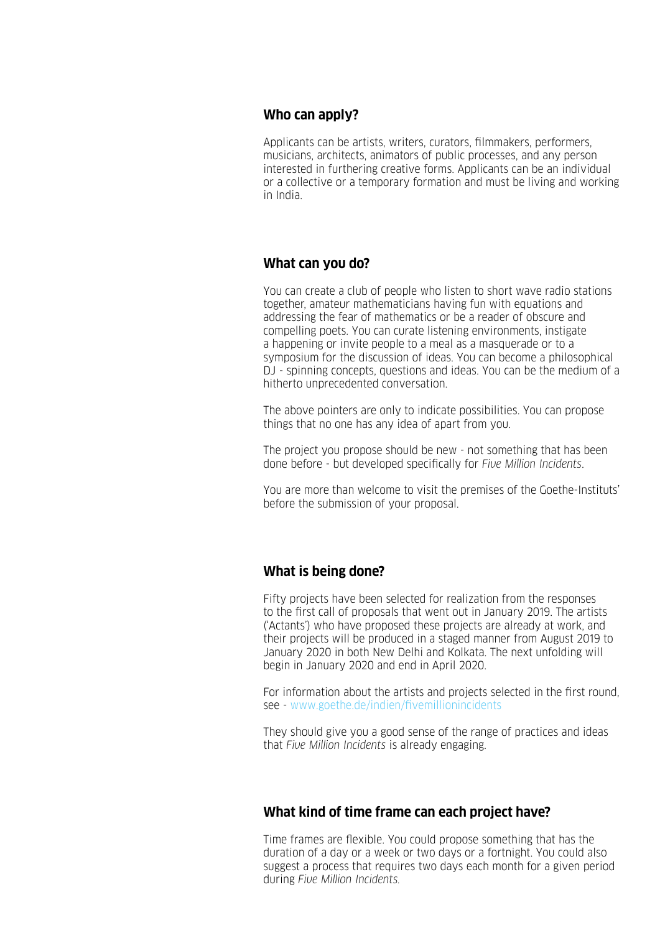#### **Who can apply?**

Applicants can be artists, writers, curators, filmmakers, performers, musicians, architects, animators of public processes, and any person interested in furthering creative forms. Applicants can be an individual or a collective or a temporary formation and must be living and working in India.

#### **What can you do?**

You can create a club of people who listen to short wave radio stations together, amateur mathematicians having fun with equations and addressing the fear of mathematics or be a reader of obscure and compelling poets. You can curate listening environments, instigate a happening or invite people to a meal as a masquerade or to a symposium for the discussion of ideas. You can become a philosophical DJ - spinning concepts, questions and ideas. You can be the medium of a hitherto unprecedented conversation.

The above pointers are only to indicate possibilities. You can propose things that no one has any idea of apart from you.

The project you propose should be new - not something that has been done before - but developed specifically for *Five Million Incidents*.

You are more than welcome to visit the premises of the Goethe-Instituts' before the submission of your proposal.

## **What is being done?**

Fifty projects have been selected for realization from the responses to the first call of proposals that went out in January 2019. The artists ('Actants') who have proposed these projects are already at work, and their projects will be produced in a staged manner from August 2019 to January 2020 in both New Delhi and Kolkata. The next unfolding will begin in January 2020 and end in April 2020.

For information about the artists and projects selected in the first round, see - www.goethe.de/indien/fivemillionincidents

They should give you a good sense of the range of practices and ideas that *Five Million Incidents* is already engaging.

#### **What kind of time frame can each project have?**

Time frames are flexible. You could propose something that has the duration of a day or a week or two days or a fortnight. You could also suggest a process that requires two days each month for a given period during *Five Million Incidents.*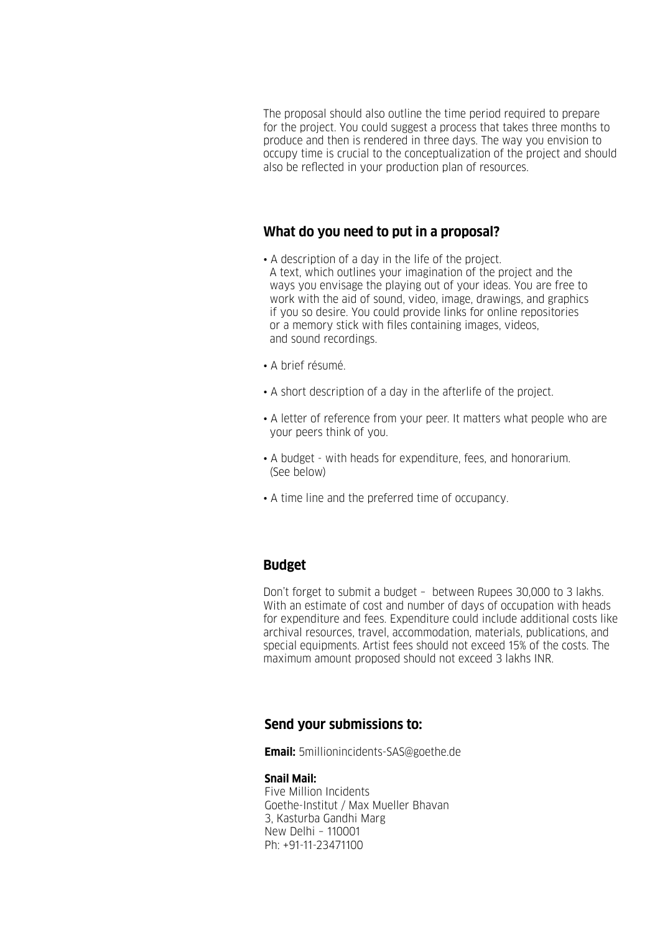The proposal should also outline the time period required to prepare for the project. You could suggest a process that takes three months to produce and then is rendered in three days. The way you envision to occupy time is crucial to the conceptualization of the project and should also be reflected in your production plan of resources.

#### **What do you need to put in a proposal?**

- A description of a day in the life of the project. A text, which outlines your imagination of the project and the ways you envisage the playing out of your ideas. You are free to work with the aid of sound, video, image, drawings, and graphics if you so desire. You could provide links for online repositories or a memory stick with files containing images, videos, and sound recordings.
- A brief résumé.
- A short description of a day in the afterlife of the project.
- A letter of reference from your peer. It matters what people who are your peers think of you.
- A budget with heads for expenditure, fees, and honorarium. (See below)
- A time line and the preferred time of occupancy.

## **Budget**

Don't forget to submit a budget – between Rupees 30,000 to 3 lakhs. With an estimate of cost and number of days of occupation with heads for expenditure and fees. Expenditure could include additional costs like archival resources, travel, accommodation, materials, publications, and special equipments. Artist fees should not exceed 15% of the costs. The maximum amount proposed should not exceed 3 lakhs INR.

#### **Send your submissions to:**

**Email:** 5millionincidents-SAS@goethe.de

#### **Snail Mail:**

Five Million Incidents Goethe-Institut / Max Mueller Bhavan 3, Kasturba Gandhi Marg New Delhi – 110001 Ph: +91-11-23471100